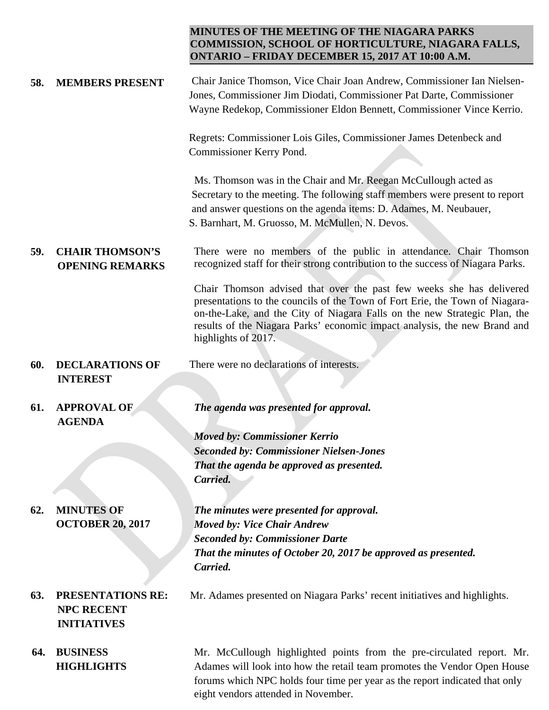## **MINUTES OF THE MEETING OF THE NIAGARA PARKS COMMISSION, SCHOOL OF HORTICULTURE, NIAGARA FALLS, ONTARIO – FRIDAY DECEMBER 15, 2017 AT 10:00 A.M.**

| 58. | <b>MEMBERS PRESENT</b>                                       | Chair Janice Thomson, Vice Chair Joan Andrew, Commissioner Ian Nielsen-<br>Jones, Commissioner Jim Diodati, Commissioner Pat Darte, Commissioner<br>Wayne Redekop, Commissioner Eldon Bennett, Commissioner Vince Kerrio.                                                                                                             |
|-----|--------------------------------------------------------------|---------------------------------------------------------------------------------------------------------------------------------------------------------------------------------------------------------------------------------------------------------------------------------------------------------------------------------------|
|     |                                                              | Regrets: Commissioner Lois Giles, Commissioner James Detenbeck and<br>Commissioner Kerry Pond.                                                                                                                                                                                                                                        |
|     |                                                              | Ms. Thomson was in the Chair and Mr. Reegan McCullough acted as<br>Secretary to the meeting. The following staff members were present to report<br>and answer questions on the agenda items: D. Adames, M. Neubauer,<br>S. Barnhart, M. Gruosso, M. McMullen, N. Devos.                                                               |
| 59. | <b>CHAIR THOMSON'S</b><br><b>OPENING REMARKS</b>             | There were no members of the public in attendance. Chair Thomson<br>recognized staff for their strong contribution to the success of Niagara Parks.                                                                                                                                                                                   |
|     |                                                              | Chair Thomson advised that over the past few weeks she has delivered<br>presentations to the councils of the Town of Fort Erie, the Town of Niagara-<br>on-the-Lake, and the City of Niagara Falls on the new Strategic Plan, the<br>results of the Niagara Parks' economic impact analysis, the new Brand and<br>highlights of 2017. |
| 60. | <b>DECLARATIONS OF</b>                                       | There were no declarations of interests.                                                                                                                                                                                                                                                                                              |
|     | <b>INTEREST</b>                                              |                                                                                                                                                                                                                                                                                                                                       |
|     |                                                              |                                                                                                                                                                                                                                                                                                                                       |
| 61. | <b>APPROVAL OF</b><br><b>AGENDA</b>                          | The agenda was presented for approval.                                                                                                                                                                                                                                                                                                |
|     |                                                              | <b>Moved by: Commissioner Kerrio</b>                                                                                                                                                                                                                                                                                                  |
|     |                                                              | <b>Seconded by: Commissioner Nielsen-Jones</b>                                                                                                                                                                                                                                                                                        |
|     |                                                              | That the agenda be approved as presented.                                                                                                                                                                                                                                                                                             |
|     |                                                              | Carried.                                                                                                                                                                                                                                                                                                                              |
|     |                                                              |                                                                                                                                                                                                                                                                                                                                       |
| 62. | <b>MINUTES OF</b>                                            | The minutes were presented for approval.                                                                                                                                                                                                                                                                                              |
|     | <b>OCTOBER 20, 2017</b>                                      | <b>Moved by: Vice Chair Andrew</b>                                                                                                                                                                                                                                                                                                    |
|     |                                                              | <b>Seconded by: Commissioner Darte</b>                                                                                                                                                                                                                                                                                                |
|     |                                                              | That the minutes of October 20, 2017 be approved as presented.                                                                                                                                                                                                                                                                        |
|     |                                                              | Carried.                                                                                                                                                                                                                                                                                                                              |
| 63. | PRESENTATIONS RE:<br><b>NPC RECENT</b><br><b>INITIATIVES</b> | Mr. Adames presented on Niagara Parks' recent initiatives and highlights.                                                                                                                                                                                                                                                             |
| 64. | <b>BUSINESS</b>                                              | Mr. McCullough highlighted points from the pre-circulated report. Mr.                                                                                                                                                                                                                                                                 |
|     | <b>HIGHLIGHTS</b>                                            | Adames will look into how the retail team promotes the Vendor Open House<br>forums which NPC holds four time per year as the report indicated that only                                                                                                                                                                               |

eight vendors attended in November.